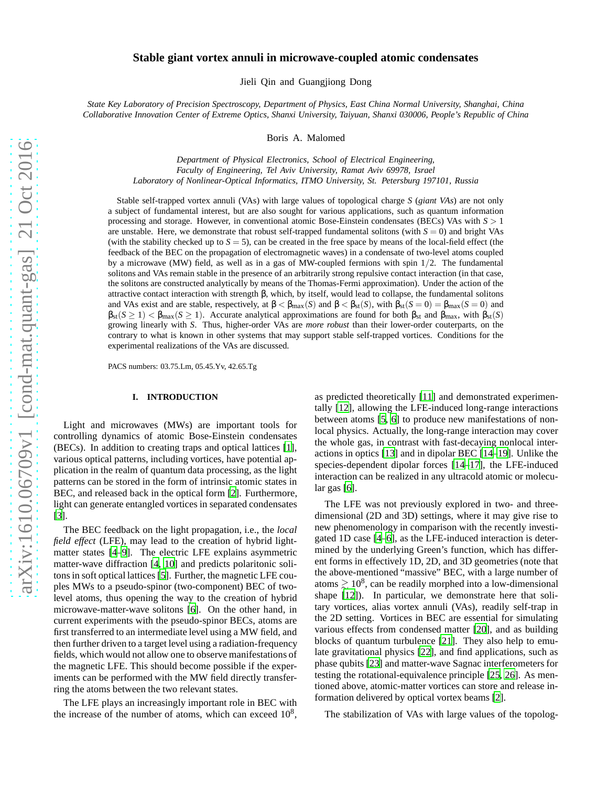# **Stable giant vortex annuli in microwave-coupled atomic condensates**

Jieli Qin and Guangjiong Dong

*State Key Laboratory of Precision Spectroscopy, Department of Physics, East China Normal University, Shanghai, China Collaborative Innovation Center of Extreme Optics, Shanxi University, Taiyuan, Shanxi 030006, People's Republic of China*

Boris A. Malomed

*Department of Physical Electronics, School of Electrical Engineering, Faculty of Engineering, Tel Aviv University, Ramat Aviv 69978, Israel Laboratory of Nonlinear-Optical Informatics, ITMO University, St. Petersburg 197101, Russia*

Stable self-trapped vortex annuli (VAs) with large values of topological charge *S* (*giant VAs*) are not only a subject of fundamental interest, but are also sought for various applications, such as quantum information processing and storage. However, in conventional atomic Bose-Einstein condensates (BECs) VAs with *S* > 1 are unstable. Here, we demonstrate that robust self-trapped fundamental solitons (with  $S = 0$ ) and bright VAs (with the stability checked up to  $S = 5$ ), can be created in the free space by means of the local-field effect (the feedback of the BEC on the propagation of electromagnetic waves) in a condensate of two-level atoms coupled by a microwave (MW) field, as well as in a gas of MW-coupled fermions with spin 1/2. The fundamental solitons and VAs remain stable in the presence of an arbitrarily strong repulsive contact interaction (in that case, the solitons are constructed analytically by means of the Thomas-Fermi approximation). Under the action of the attractive contact interaction with strength β, which, by itself, would lead to collapse, the fundamental solitons and VAs exist and are stable, respectively, at  $\beta < \beta_{\text{max}}(S)$  and  $\beta < \beta_{\text{st}}(S)$ , with  $\beta_{\text{st}}(S = 0) = \beta_{\text{max}}(S = 0)$  and  $\beta_{st}(S \ge 1) < \beta_{max}(S \ge 1)$ . Accurate analytical approximations are found for both  $\beta_{st}$  and  $\beta_{max}$ , with  $\beta_{st}(S)$ growing linearly with *S*. Thus, higher-order VAs are *more robust* than their lower-order couterparts, on the contrary to what is known in other systems that may support stable self-trapped vortices. Conditions for the experimental realizations of the VAs are discussed.

PACS numbers: 03.75.Lm, 05.45.Yv, 42.65.Tg

### **I. INTRODUCTION**

Light and microwaves (MWs) are important tools for controlling dynamics of atomic Bose-Einstein condensates (BECs). In addition to creating traps and optical lattices [\[1](#page-5-0)], various optical patterns, including vortices, have potential application in the realm of quantum data processing, as the light patterns can be stored in the form of intrinsic atomic states in BEC, and released back in the optical form [\[2\]](#page-5-1). Furthermore, light can generate entangled vortices in separated condensates [\[3](#page-5-2)].

The BEC feedback on the light propagation, i.e., the *local field effect* (LFE), may lead to the creation of hybrid lightmatter states [\[4](#page-5-3)[–9\]](#page-5-4). The electric LFE explains asymmetric matter-wave diffraction [\[4,](#page-5-3) [10\]](#page-5-5) and predicts polaritonic solitons in soft optical lattices [\[5\]](#page-5-6). Further, the magnetic LFE couples MWs to a pseudo-spinor (two-component) BEC of twolevel atoms, thus opening the way to the creation of hybrid microwave-matter-wave solitons [\[6\]](#page-5-7). On the other hand, in current experiments with the pseudo-spinor BECs, atoms are first transferred to an intermediate level using a MW field, and then further driven to a target level using a radiation-frequency fields, which would not allow one to observe manifestations of the magnetic LFE. This should become possible if the experiments can be performed with the MW field directly transferring the atoms between the two relevant states.

The LFE plays an increasingly important role in BEC with the increase of the number of atoms, which can exceed  $10^8$ ,

as predicted theoretically [\[11\]](#page-5-8) and demonstrated experimentally [\[12](#page-5-9)], allowing the LFE-induced long-range interactions between atoms [\[5,](#page-5-6) [6](#page-5-7)] to produce new manifestations of nonlocal physics. Actually, the long-range interaction may cover the whole gas, in contrast with fast-decaying nonlocal interactions in optics [\[13\]](#page-5-10) and in dipolar BEC [\[14](#page-5-11)[–19\]](#page-5-12). Unlike the species-dependent dipolar forces [\[14](#page-5-11)[–17\]](#page-5-13), the LFE-induced interaction can be realized in any ultracold atomic or molecular gas [\[6\]](#page-5-7).

The LFE was not previously explored in two- and threedimensional (2D and 3D) settings, where it may give rise to new phenomenology in comparison with the recently investigated 1D case [\[4](#page-5-3)[–6](#page-5-7)], as the LFE-induced interaction is determined by the underlying Green's function, which has different forms in effectively 1D, 2D, and 3D geometries (note that the above-mentioned "massive" BEC, with a large number of atoms  $\geq 10^8$ , can be readily morphed into a low-dimensional shape [\[12\]](#page-5-9)). In particular, we demonstrate here that solitary vortices, alias vortex annuli (VAs), readily self-trap in the 2D setting. Vortices in BEC are essential for simulating various effects from condensed matter [\[20\]](#page-5-14), and as building blocks of quantum turbulence [\[21](#page-5-15)]. They also help to emulate gravitational physics [\[22\]](#page-6-0), and find applications, such as phase qubits [\[23](#page-6-1)] and matter-wave Sagnac interferometers for testing the rotational-equivalence principle [\[25,](#page-6-2) [26\]](#page-6-3). As mentioned above, atomic-matter vortices can store and release information delivered by optical vortex beams [\[2\]](#page-5-1).

The stabilization of VAs with large values of the topolog-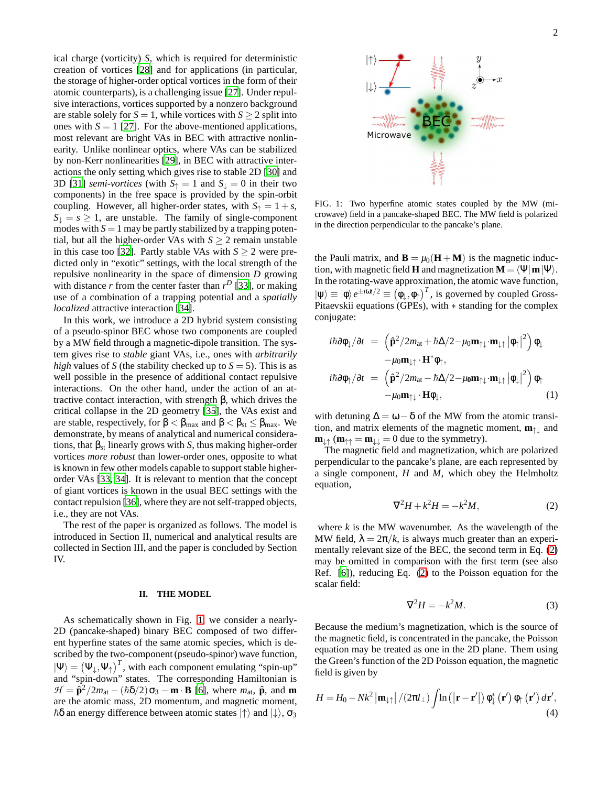ical charge (vorticity) *S*, which is required for deterministic creation of vortices [\[28\]](#page-6-4) and for applications (in particular, the storage of higher-order optical vortices in the form of their atomic counterparts), is a challenging issue [\[27\]](#page-6-5). Under repulsive interactions, vortices supported by a nonzero background are stable solely for  $S = 1$ , while vortices with  $S \geq 2$  split into ones with  $S = 1$  [\[27\]](#page-6-5). For the above-mentioned applications, most relevant are bright VAs in BEC with attractive nonlinearity. Unlike nonlinear optics, where VAs can be stabilized by non-Kerr nonlinearities [\[29](#page-6-6)], in BEC with attractive interactions the only setting which gives rise to stable 2D [\[30\]](#page-6-7) and 3D [\[31](#page-6-8)] *semi-vortices* (with  $S_{\uparrow} = 1$  and  $S_{\downarrow} = 0$  in their two components) in the free space is provided by the spin-orbit coupling. However, all higher-order states, with  $S_{\uparrow} = 1 + s$ ,  $S_{\perp} = s \geq 1$ , are unstable. The family of single-component modes with  $S = 1$  may be partly stabilized by a trapping potential, but all the higher-order VAs with  $S \geq 2$  remain unstable in this case too [\[32](#page-6-9)]. Partly stable VAs with  $S \ge 2$  were predicted only in "exotic" settings, with the local strength of the repulsive nonlinearity in the space of dimension *D* growing with distance  $r$  from the center faster than  $r^D$  [\[33\]](#page-6-10), or making use of a combination of a trapping potential and a *spatially localized* attractive interaction [\[34](#page-6-11)].

In this work, we introduce a 2D hybrid system consisting of a pseudo-spinor BEC whose two components are coupled by a MW field through a magnetic-dipole transition. The system gives rise to *stable* giant VAs, i.e., ones with *arbitrarily high* values of *S* (the stability checked up to  $S = 5$ ). This is as well possible in the presence of additional contact repulsive interactions. On the other hand, under the action of an attractive contact interaction, with strength β, which drives the critical collapse in the 2D geometry [\[35\]](#page-6-12), the VAs exist and are stable, respectively, for  $\beta < \beta_{\text{max}}$  and  $\beta < \beta_{\text{st}} \leq \beta_{\text{max}}$ . We demonstrate, by means of analytical and numerical considerations, that  $\beta_{st}$  linearly grows with *S*, thus making higher-order vortices *more robust* than lower-order ones, opposite to what is known in few other models capable to support stable higherorder VAs [\[33,](#page-6-10) [34](#page-6-11)]. It is relevant to mention that the concept of giant vortices is known in the usual BEC settings with the contact repulsion [\[36](#page-6-13)], where they are not self-trapped objects, i.e., they are not VAs.

The rest of the paper is organized as follows. The model is introduced in Section II, numerical and analytical results are collected in Section III, and the paper is concluded by Section IV.

#### **II. THE MODEL**

As schematically shown in Fig. [1,](#page-1-0) we consider a nearly-2D (pancake-shaped) binary BEC composed of two different hyperfine states of the same atomic species, which is described by the two-component (pseudo-spinor) wave function,  $|\Psi\rangle = (\Psi_{\downarrow}, \Psi_{\uparrow})^T$ , with each component emulating "spin-up" and "spin-down" states. The corresponding Hamiltonian is  $H = \hat{\mathbf{p}}^2/2m_{\text{at}} - (\hbar \delta/2)\sigma_3 - \mathbf{m} \cdot \mathbf{B}$  [\[6\]](#page-5-7), where  $m_{\text{at}}$ ,  $\hat{\mathbf{p}}$ , and  $\mathbf{m}$ are the atomic mass, 2D momentum, and magnetic moment,  $\hbar\delta$  an energy difference between atomic states  $|\uparrow\rangle$  and  $|\downarrow\rangle$ ,  $\sigma_3$ 



<span id="page-1-0"></span>FIG. 1: Two hyperfine atomic states coupled by the MW (microwave) field in a pancake-shaped BEC. The MW field is polarized in the direction perpendicular to the pancake's plane.

the Pauli matrix, and  $\mathbf{B} = \mu_0(\mathbf{H} + \mathbf{M})$  is the magnetic induction, with magnetic field **H** and magnetization  $M = \langle \Psi | m | \Psi \rangle$ . In the rotating-wave approximation, the atomic wave function,  $|\psi\rangle \equiv |\phi\rangle e^{\pm i\omega t/2} \equiv (\phi_{\perp}, \phi_{\uparrow})^T$ , is governed by coupled Gross-Pitaevskii equations (GPEs), with ∗ standing for the complex conjugate:

$$
i\hbar \partial \phi_{\downarrow} / \partial t = \left( \hat{\mathbf{p}}^2 / 2m_{\text{at}} + \hbar \Delta / 2 - \mu_0 \mathbf{m}_{\uparrow \downarrow} \cdot \mathbf{m}_{\downarrow \uparrow} |\phi_{\uparrow}|^2 \right) \phi_{\downarrow} - \mu_0 \mathbf{m}_{\downarrow \uparrow} \cdot \mathbf{H}^* \phi_{\uparrow}, i\hbar \partial \phi_{\uparrow} / \partial t = \left( \hat{\mathbf{p}}^2 / 2m_{\text{at}} - \hbar \Delta / 2 - \mu_0 \mathbf{m}_{\uparrow \downarrow} \cdot \mathbf{m}_{\downarrow \uparrow} |\phi_{\downarrow}|^2 \right) \phi_{\uparrow} - \mu_0 \mathbf{m}_{\uparrow \downarrow} \cdot \mathbf{H} \phi_{\downarrow},
$$
 (1)

with detuning  $\Delta = \omega - \delta$  of the MW from the atomic transition, and matrix elements of the magnetic moment, **m**↑↓ and  $\mathbf{m}_{\perp} \cdot (\mathbf{m}_{\uparrow} = \mathbf{m}_{\perp} = 0$  due to the symmetry).

The magnetic field and magnetization, which are polarized perpendicular to the pancake's plane, are each represented by a single component, *H* and *M*, which obey the Helmholtz equation,

<span id="page-1-1"></span>
$$
\nabla^2 H + k^2 H = -k^2 M,\tag{2}
$$

where  $k$  is the MW wavenumber. As the wavelength of the MW field,  $\lambda = 2\pi/k$ , is always much greater than an experimentally relevant size of the BEC, the second term in Eq. [\(2\)](#page-1-1) may be omitted in comparison with the first term (see also Ref. [\[6\]](#page-5-7)), reducing Eq. [\(2\)](#page-1-1) to the Poisson equation for the scalar field:

<span id="page-1-2"></span>
$$
\nabla^2 H = -k^2 M. \tag{3}
$$

Because the medium's magnetization, which is the source of the magnetic field, is concentrated in the pancake, the Poisson equation may be treated as one in the 2D plane. Them using the Green's function of the 2D Poisson equation, the magnetic field is given by

$$
H = H_0 - Nk^2 \left| \mathbf{m}_{\downarrow\uparrow} \right| / (2\pi l_{\perp}) \int \ln \left( \left| \mathbf{r} - \mathbf{r}' \right| \right) \phi_{\downarrow}^* \left( \mathbf{r}' \right) \phi_{\uparrow} \left( \mathbf{r}' \right) d\mathbf{r}', \tag{4}
$$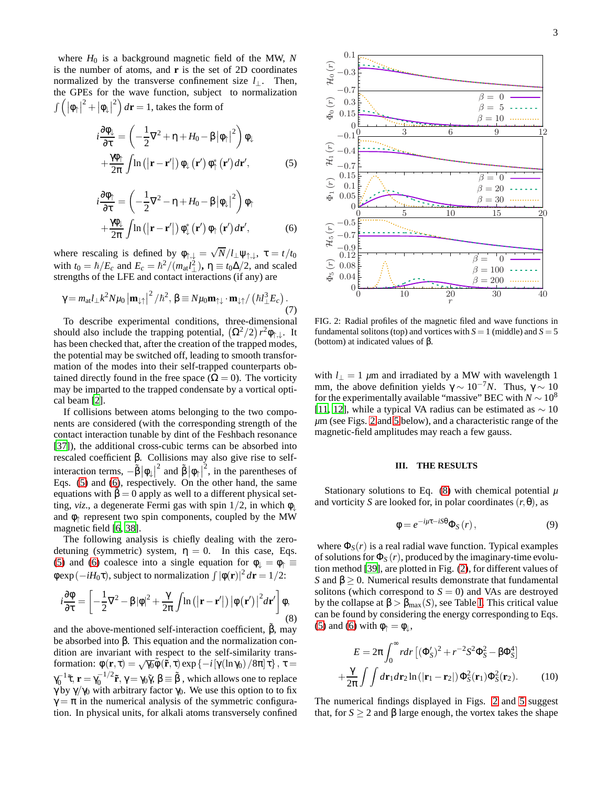where *H*<sup>0</sup> is a background magnetic field of the MW, *N* is the number of atoms, and **r** is the set of 2D coordinates normalized by the transverse confinement size *l*⊥. Then, the GPEs for the wave function, subject to normalization  $\int \left( \left| \Phi_\uparrow \right|^2 + \left| \Phi_\downarrow \right| \right)$  $\int_a^2 dx = 1$ , takes the form of

$$
i\frac{\partial\phi_{\downarrow}}{\partial\tau} = \left(-\frac{1}{2}\nabla^2 + \eta + H_0 - \beta |\phi_{\uparrow}|^2\right)\phi_{\downarrow}
$$

$$
+\frac{\gamma\phi_{\uparrow}}{2\pi}\int\ln\left(|\mathbf{r} - \mathbf{r}'|\right)\phi_{\downarrow}\left(\mathbf{r}'\right)\phi_{\uparrow}^{*}\left(\mathbf{r}'\right)d\mathbf{r}',\tag{5}
$$

$$
i\frac{\partial \phi_{\uparrow}}{\partial \tau} = \left(-\frac{1}{2}\nabla^2 - \eta + H_0 - \beta |\phi_{\downarrow}|^2\right)\phi_{\uparrow} +\frac{\gamma \phi_{\downarrow}}{2\pi} \int \ln\left(|\mathbf{r} - \mathbf{r}'|\right)\phi_{\downarrow}^*(\mathbf{r}') \phi_{\uparrow}(\mathbf{r}') d\mathbf{r}',
$$
 (6)

where rescaling is defined by  $\phi_{\uparrow,\downarrow} = \sqrt{N}/l_{\perp}\psi_{\uparrow,\downarrow}$ ,  $\tau = t/t_0$ with  $t_0 = \hbar/E_c$  and  $E_c = \hbar^2/(m_{\text{at}}l_{\perp}^2)$ ,  $\eta \equiv t_0 \Delta/2$ , and scaled strengths of the LFE and contact interactions (if any) are

$$
\gamma = m_{\text{at}} l_{\perp} k^2 N \mu_0 \left| \mathbf{m}_{\downarrow \uparrow} \right|^2 / \hbar^2, \, \beta \equiv N \mu_0 \mathbf{m}_{\uparrow \downarrow} \cdot \mathbf{m}_{\downarrow \uparrow} / \left( \hbar l_{\perp}^3 E_c \right). \tag{7}
$$

To describe experimental conditions, three-dimensional should also include the trapping potential,  $(\Omega^2/2) r^2 \phi_{\uparrow,\downarrow}$ . It has been checked that, after the creation of the trapped modes, the potential may be switched off, leading to smooth transformation of the modes into their self-trapped counterparts obtained directly found in the free space ( $\Omega = 0$ ). The vorticity may be imparted to the trapped condensate by a vortical optical beam [\[2\]](#page-5-1).

If collisions between atoms belonging to the two components are considered (with the corresponding strength of the contact interaction tunable by dint of the Feshbach resonance [\[37](#page-6-14)]), the additional cross-cubic terms can be absorbed into rescaled coefficient β. Collisions may also give rise to selfinteraction terms,  $-\tilde{\beta} |\phi_{\downarrow}|$ <sup>2</sup> and  $\tilde{\beta} |\phi_{\uparrow}|$  $2<sup>2</sup>$ , in the parentheses of Eqs. [\(5\)](#page-2-0) and [\(6\)](#page-2-1), respectively. On the other hand, the same equations with  $\beta = 0$  apply as well to a different physical setting, *viz*., a degenerate Fermi gas with spin  $1/2$ , in which  $\phi$ and  $\phi$ <sup> $\uparrow$ </sup> represent two spin components, coupled by the MW magnetic field [\[6,](#page-5-7) [38\]](#page-6-15).

The following analysis is chiefly dealing with the zerodetuning (symmetric) system,  $\eta = 0$ . In this case, Eqs. [\(5\)](#page-2-0) and [\(6\)](#page-2-1) coalesce into a single equation for  $\phi_{\perp} = \phi_{\uparrow} \equiv$ φexp(−*iH*0τ), subject to normalization <sup>R</sup> |φ(**r**)| 2 *d***r** = 1/2:

<span id="page-2-3"></span>
$$
i\frac{\partial\Phi}{\partial\tau} = \left[ -\frac{1}{2}\nabla^2 - \beta |\phi|^2 + \frac{\gamma}{2\pi} \int \ln\left(|\mathbf{r} - \mathbf{r}'|\right) |\phi(\mathbf{r}')|^2 d\mathbf{r}' \right] \phi,
$$
\n(8)

and the above-mentioned self-interaction coefficient,  $\hat{B}$ , may be absorbed into β. This equation and the normalization condition are invariant with respect to the self-similarity transformation:  $\phi(\mathbf{r}, \tau) = \sqrt{\gamma_0} \tilde{\phi}(\tilde{\mathbf{r}}, \tau) \exp\{-i[\gamma(\ln \gamma_0)/8\pi]\tau\}, \tau =$  $\gamma_0^{-1}$ τ̃, **r** =  $\gamma_0^{-1/2}$ **r**̃, γ =  $\gamma_0 \tilde{\gamma}$ , β = β , which allows one to replace γ by  $\gamma/\gamma_0$  with arbitrary factor  $\gamma_0$ . We use this option to to fix  $\gamma = \pi$  in the numerical analysis of the symmetric configuration. In physical units, for alkali atoms transversely confined



<span id="page-2-0"></span>

<span id="page-2-2"></span><span id="page-2-1"></span>FIG. 2: Radial profiles of the magnetic filed and wave functions in fundamental solitons (top) and vortices with  $S = 1$  (middle) and  $S = 5$ (bottom) at indicated values of  $β$ .

with  $l_{\perp} = 1$   $\mu$ m and irradiated by a MW with wavelength 1 mm, the above definition yields  $\gamma \sim 10^{-7} N$ . Thus,  $\gamma \sim 10$ for the experimentally available "massive" BEC with  $N \sim 10^8$ [\[11](#page-5-8), [12\]](#page-5-9), while a typical VA radius can be estimated as  $\sim 10$ *µ*m (see Figs. [2](#page-2-2) and [5](#page-4-0) below), and a characteristic range of the magnetic-field amplitudes may reach a few gauss.

## **III. THE RESULTS**

Stationary solutions to Eq.  $(8)$  with chemical potential  $\mu$ and vorticity *S* are looked for, in polar coordinates  $(r, \theta)$ , as

<span id="page-2-5"></span>
$$
\phi = e^{-i\mu\tau - iS\theta} \Phi_S(r),\tag{9}
$$

where  $\Phi_S(r)$  is a real radial wave function. Typical examples of solutions for  $\Phi_S(r)$ , produced by the imaginary-time evolution method [\[39\]](#page-6-16), are plotted in Fig. [\(2\)](#page-2-2), for different values of *S* and β ≥ 0. Numerical results demonstrate that fundamental solitons (which correspond to  $S = 0$ ) and VAs are destroyed by the collapse at  $\beta > \beta_{\text{max}}(S)$ , see Table [I.](#page-3-0) This critical value can be found by considering the energy corresponding to Eqs. [\(5\)](#page-2-0) and [\(6\)](#page-2-1) with  $\phi_{\uparrow} = \phi_{\downarrow}$ ,

<span id="page-2-4"></span>
$$
E = 2\pi \int_0^\infty r dr \left[ (\Phi_S')^2 + r^{-2} S^2 \Phi_S^2 - \beta \Phi_S^4 \right]
$$

$$
+ \frac{\gamma}{2\pi} \int \int dr_1 dr_2 \ln \left( |\mathbf{r}_1 - \mathbf{r}_2| \right) \Phi_S^2(\mathbf{r}_1) \Phi_S^2(\mathbf{r}_2). \tag{10}
$$

The numerical findings displayed in Figs. [2](#page-2-2) and [5](#page-4-0) suggest that, for *S*  $\geq$  2 and β large enough, the vortex takes the shape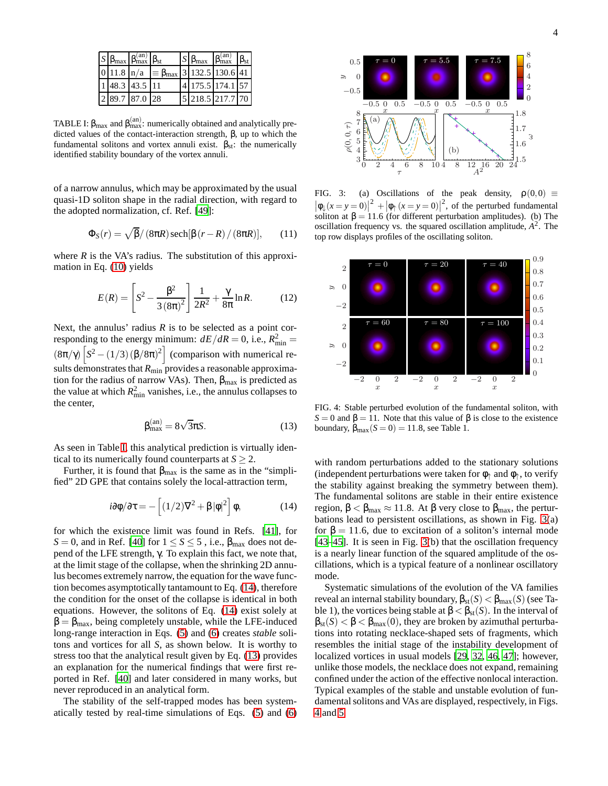|  | $S \left  \beta_{\text{max}} \right  \beta_{\text{max}}^{(\text{an})} \left  \beta_{\text{st}} \right $ |                                                              | $S \beta_{\text{max}}   \beta_{\text{max}}^{(\text{an})}   \beta_{\text{st}}$ |  |
|--|---------------------------------------------------------------------------------------------------------|--------------------------------------------------------------|-------------------------------------------------------------------------------|--|
|  |                                                                                                         | $ 0 11.8 \ln/a  \equiv \beta_{\text{max}}  3 132.5 130.6 41$ |                                                                               |  |
|  | 1 48.3 43.5 11                                                                                          |                                                              | 4 175.5 174.1 57                                                              |  |
|  | 2 89.7 87.0 28                                                                                          |                                                              | 5 218.5 217.7 70                                                              |  |

<span id="page-3-0"></span>TABLE I:  $\beta_{\text{max}}$  and  $\beta_{\text{max}}^{(\text{an})}$ : numerically obtained and analytically predicted values of the contact-interaction strength, β, up to which the fundamental solitons and vortex annuli exist.  $\beta_{st}$ : the numerically identified stability boundary of the vortex annuli.

of a narrow annulus, which may be approximated by the usual quasi-1D soliton shape in the radial direction, with regard to the adopted normalization, cf. Ref. [\[49\]](#page-6-17):

$$
\Phi_S(r) = \sqrt{\beta}/(8\pi R) \operatorname{sech}[\beta(r - R)/(8\pi R)], \qquad (11)
$$

where  $R$  is the VA's radius. The substitution of this approximation in Eq. [\(10\)](#page-2-4) yields

$$
E(R) = \left[S^2 - \frac{\beta^2}{3(8\pi)^2}\right] \frac{1}{2R^2} + \frac{\gamma}{8\pi} \ln R.
$$
 (12)

Next, the annulus' radius  $R$  is to be selected as a point corresponding to the energy minimum:  $dE/dR = 0$ , i.e.,  $R_{\text{min}}^2 =$  $(8\pi/\gamma)\left[S^2 - (1/3)\left(\frac{\beta}{8\pi}\right)^2\right]$  (comparison with numerical results demonstrates that  $R_{\rm min}$  provides a reasonable approximation for the radius of narrow VAs). Then,  $\beta_{\text{max}}$  is predicted as the value at which  $R_{\text{min}}^2$  vanishes, i.e., the annulus collapses to the center,

<span id="page-3-2"></span>
$$
\beta_{\text{max}}^{(\text{an})} = 8\sqrt{3}\pi S. \tag{13}
$$

As seen in Table [I,](#page-3-0) this analytical prediction is virtually identical to its numerically found counterparts at  $S \geq 2$ .

Further, it is found that  $\beta_{\text{max}}$  is the same as in the "simplified" 2D GPE that contains solely the local-attraction term,

<span id="page-3-1"></span>
$$
i\partial\phi/\partial\tau = -\left[ (1/2)\nabla^2 + \beta |\phi|^2 \right] \phi, \tag{14}
$$

for which the existence limit was found in Refs. [\[41\]](#page-6-18), for *S* = 0, and in Ref. [\[40](#page-6-19)] for  $1 \le S \le 5$ , i.e.,  $\beta_{\text{max}}$  does not depend of the LFE strength, γ. To explain this fact, we note that, at the limit stage of the collapse, when the shrinking 2D annulus becomes extremely narrow, the equation for the wave function becomes asymptotically tantamount to Eq. [\(14\)](#page-3-1), therefore the condition for the onset of the collapse is identical in both equations. However, the solitons of Eq. [\(14\)](#page-3-1) exist solely at  $\beta = \beta_{\text{max}}$ , being completely unstable, while the LFE-induced long-range interaction in Eqs. [\(5\)](#page-2-0) and [\(6\)](#page-2-1) creates *stable* solitons and vortices for all *S*, as shown below. It is worthy to stress too that the analytical result given by Eq. [\(13\)](#page-3-2) provides an explanation for the numerical findings that were first reported in Ref. [\[40](#page-6-19)] and later considered in many works, but never reproduced in an analytical form.

The stability of the self-trapped modes has been systematically tested by real-time simulations of Eqs. [\(5\)](#page-2-0) and [\(6\)](#page-2-1)



 $\tilde{y}$ 

 $\rho(0,0,\tau)$ 

FIG. 3: (a) Oscillations of the peak density,  $\rho(0,0) \equiv$  $\left|\phi_{\downarrow}(x=y=0)\right|^2 + \left|\phi_{\uparrow}(x=y=0)\right|^2$ , of the perturbed fundamental soliton at  $\beta = 11.6$  (for different perturbation amplitudes). (b) The oscillation frequency vs. the squared oscillation amplitude,  $A^2$ . The top row displays profiles of the oscillating soliton.

<span id="page-3-3"></span>τ



<span id="page-3-4"></span>FIG. 4: Stable perturbed evolution of the fundamental soliton, with *S* = 0 and β = 11. Note that this value of β is close to the existence boundary,  $\beta_{\text{max}}(S=0) = 11.8$ , see Table 1.

with random perturbations added to the stationary solutions (independent perturbations were taken for  $\phi$ <sup>+</sup> and  $\phi$ <sup>+</sup>, to verify the stability against breaking the symmetry between them). The fundamental solitons are stable in their entire existence region,  $\beta < \beta_{\text{max}} \approx 11.8$ . At β very close to  $\beta_{\text{max}}$ , the perturbations lead to persistent oscillations, as shown in Fig. [3\(](#page-3-3)a) for  $\beta = 11.6$ , due to excitation of a soliton's internal mode [\[43](#page-6-20)[–45](#page-6-21)]. It is seen in Fig. [3\(](#page-3-3)b) that the oscillation frequency is a nearly linear function of the squared amplitude of the oscillations, which is a typical feature of a nonlinear oscillatory mode.

Systematic simulations of the evolution of the VA families reveal an internal stability boundary,  $\beta_{st}(S) < \beta_{max}(S)$  (see Table 1), the vortices being stable at  $\beta < \beta_{st}(S)$ . In the interval of  $\beta_{st}(S) < \beta < \beta_{max}(0)$ , they are broken by azimuthal perturbations into rotating necklace-shaped sets of fragments, which resembles the initial stage of the instability development of localized vortices in usual models [\[29,](#page-6-6) [32,](#page-6-9) [46,](#page-6-22) [47\]](#page-6-23); however, unlike those models, the necklace does not expand, remaining confined under the action of the effective nonlocal interaction. Typical examples of the stable and unstable evolution of fundamental solitons and VAs are displayed, respectively, in Figs. [4](#page-3-4) and [5.](#page-4-0)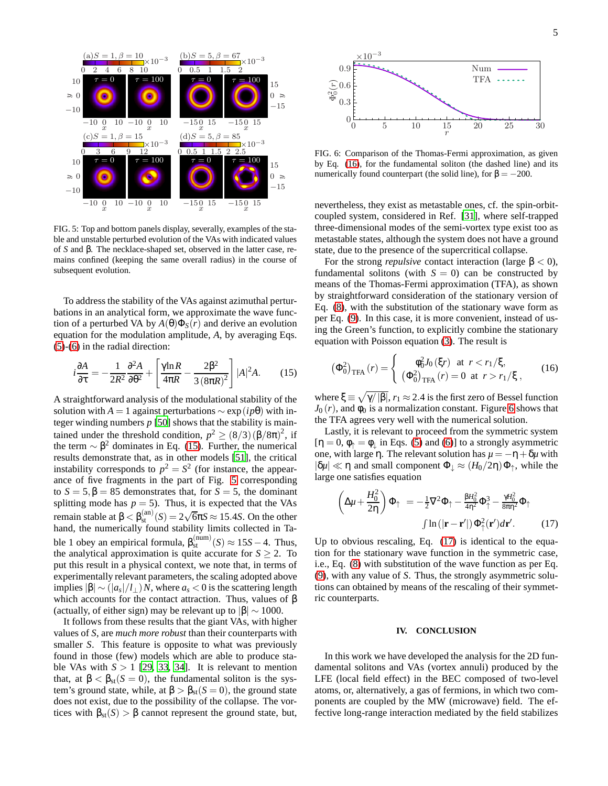

<span id="page-4-0"></span>FIG. 5: Top and bottom panels display, severally, examples of the stable and unstable perturbed evolution of the VAs with indicated values of *S* and β. The necklace-shaped set, observed in the latter case, remains confined (keeping the same overall radius) in the course of subsequent evolution.

To address the stability of the VAs against azimuthal perturbations in an analytical form, we approximate the wave function of a perturbed VA by  $A(\theta)\Phi_s(r)$  and derive an evolution equation for the modulation amplitude, *A*, by averaging Eqs. [\(5\)](#page-2-0)-[\(6\)](#page-2-1) in the radial direction:

<span id="page-4-1"></span>
$$
i\frac{\partial A}{\partial \tau} = -\frac{1}{2R^2} \frac{\partial^2 A}{\partial \theta^2} + \left[ \frac{\gamma \ln R}{4\pi R} - \frac{2\beta^2}{3(8\pi R)^2} \right] |A|^2 A. \tag{15}
$$

A straightforward analysis of the modulational stability of the solution with *A* = 1 against perturbations  $\sim$  exp( $ip\theta$ ) with integer winding numbers  $p$  [\[50\]](#page-6-24) shows that the stability is maintained under the threshold condition,  $p^2 \ge (8/3)(\beta/8\pi)^2$ , if the term  $\sim \beta^2$  dominates in Eq. [\(15\)](#page-4-1). Further, the numerical results demonstrate that, as in other models [\[51\]](#page-6-25), the critical instability corresponds to  $p^2 = S^2$  (for instance, the appearance of five fragments in the part of Fig. [5](#page-4-0) corresponding to  $S = 5, \beta = 85$  demonstrates that, for  $S = 5$ , the dominant splitting mode has  $p = 5$ ). Thus, it is expected that the VAs  $r = \frac{\text{mean}}{\text{mean}} \text{ stable at } \beta < \beta_{\text{st}}^{(\text{an})}(S) = 2\sqrt{6}\pi S \approx 15.4S$ . On the other hand, the numerically found stability limits collected in Table 1 obey an empirical formula,  $\beta_{\text{st}}^{(\text{num})}(S) \approx 15S - 4$ . Thus, the analytical approximation is quite accurate for  $S \geq 2$ . To put this result in a physical context, we note that, in terms of experimentally relevant parameters, the scaling adopted above implies  $|β| ∼ (|a<sub>s</sub>|/l<sub>⊥</sub>)N$ , where *a<sub>s</sub>* < 0 is the scattering length which accounts for the contact attraction. Thus, values of  $\beta$ (actually, of either sign) may be relevant up to  $|\beta| \sim 1000$ .

It follows from these results that the giant VAs, with higher values of *S*, are *much more robust* than their counterparts with smaller *S*. This feature is opposite to what was previously found in those (few) models which are able to produce stable VAs with  $S > 1$  [\[29](#page-6-6), [33,](#page-6-10) [34\]](#page-6-11). It is relevant to mention that, at  $\beta < \beta_{st}(S=0)$ , the fundamental soliton is the system's ground state, while, at  $\beta > \beta_{st}(S=0)$ , the ground state does not exist, due to the possibility of the collapse. The vortices with  $\beta_{st}(S) > \beta$  cannot represent the ground state, but,



<span id="page-4-3"></span>FIG. 6: Comparison of the Thomas-Fermi approximation, as given by Eq. [\(16\)](#page-4-2), for the fundamental soliton (the dashed line) and its numerically found counterpart (the solid line), for  $\beta = -200$ .

nevertheless, they exist as metastable ones, cf. the spin-orbitcoupled system, considered in Ref. [\[31\]](#page-6-8), where self-trapped three-dimensional modes of the semi-vortex type exist too as metastable states, although the system does not have a ground state, due to the presence of the supercritical collapse.

For the strong *repulsive* contact interaction (large  $\beta < 0$ ), fundamental solitons (with  $S = 0$ ) can be constructed by means of the Thomas-Fermi approximation (TFA), as shown by straightforward consideration of the stationary version of Eq. [\(8\)](#page-2-3), with the substitution of the stationary wave form as per Eq. [\(9\)](#page-2-5). In this case, it is more convenient, instead of using the Green's function, to explicitly combine the stationary equation with Poisson equation [\(3\)](#page-1-2). The result is

<span id="page-4-2"></span>
$$
(\Phi_0^2)_{\text{TFA}}(r) = \begin{cases} \phi_0^2 J_0(\xi r) & \text{at } r < r_1/\xi, \\ (\Phi_0^2)_{\text{TFA}}(r) = 0 & \text{at } r > r_1/\xi, \end{cases}
$$
 (16)

where  $\xi \equiv \sqrt{\gamma/|\beta|}$ ,  $r_1 \approx 2.4$  is the first zero of Bessel function  $J_0(r)$ , and  $\phi_0$  is a normalization constant. Figure [6](#page-4-3) shows that the TFA agrees very well with the numerical solution.

Lastly, it is relevant to proceed from the symmetric system [ $\eta = 0$ ,  $\phi_{\uparrow} = \phi_{\perp}$  in Eqs. [\(5\)](#page-2-0) and [\(6\)](#page-2-1)] to a strongly asymmetric one, with large η. The relevant solution has  $\mu = -η + δ\mu$  with  $|\delta \mu| \ll \eta$  and small component  $\Phi_{\perp} \approx (H_0/2\eta) \Phi_{\uparrow}$ , while the large one satisfies equation

<span id="page-4-4"></span>
$$
\left(\Delta\mu + \frac{H_0^2}{2\eta}\right)\Phi_{\uparrow} = -\frac{1}{2}\nabla^2\Phi_{\uparrow} - \frac{\beta H_0^2}{4\eta^2}\Phi_{\uparrow}^3 - \frac{\gamma H_0^2}{8\pi\eta^2}\Phi_{\uparrow}
$$

$$
\int \ln\left(|\mathbf{r} - \mathbf{r}'|\right)\Phi_{\uparrow}^2(\mathbf{r}')d\mathbf{r}'.\tag{17}
$$

Up to obvious rescaling, Eq. [\(17\)](#page-4-4) is identical to the equation for the stationary wave function in the symmetric case, i.e., Eq. [\(8\)](#page-2-3) with substitution of the wave function as per Eq. [\(9\)](#page-2-5), with any value of *S*. Thus, the strongly asymmetric solutions can obtained by means of the rescaling of their symmetric counterparts.

#### **IV. CONCLUSION**

In this work we have developed the analysis for the 2D fundamental solitons and VAs (vortex annuli) produced by the LFE (local field effect) in the BEC composed of two-level atoms, or, alternatively, a gas of fermions, in which two components are coupled by the MW (microwave) field. The effective long-range interaction mediated by the field stabilizes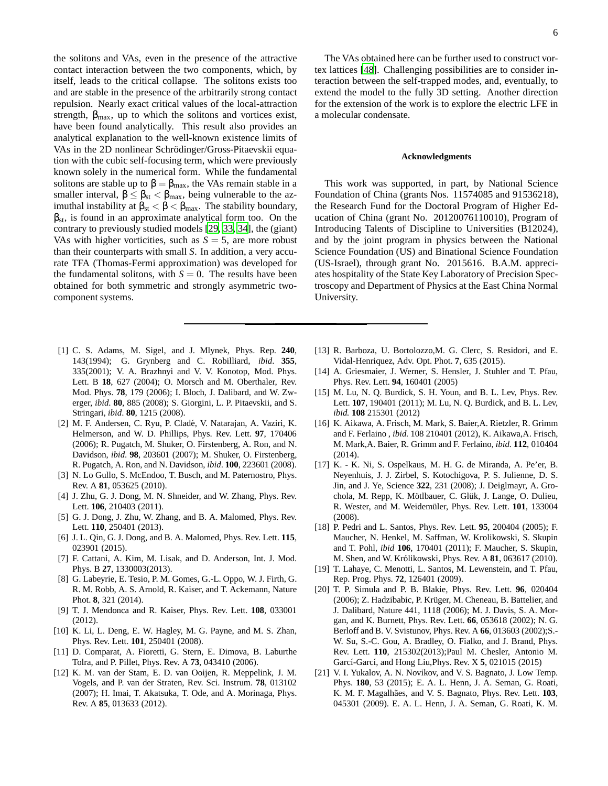the solitons and VAs, even in the presence of the attractive contact interaction between the two components, which, by itself, leads to the critical collapse. The solitons exists too and are stable in the presence of the arbitrarily strong contact repulsion. Nearly exact critical values of the local-attraction strength,  $\beta_{\text{max}}$ , up to which the solitons and vortices exist, have been found analytically. This result also provides an analytical explanation to the well-known existence limits of VAs in the 2D nonlinear Schrödinger/Gross-Pitaevskii equation with the cubic self-focusing term, which were previously known solely in the numerical form. While the fundamental solitons are stable up to  $\beta = \beta_{\text{max}}$ , the VAs remain stable in a smaller interval,  $\beta \leq \beta_{st} < \beta_{max}$ , being vulnerable to the azimuthal instability at  $\beta_{st} < \beta < \beta_{max}$ . The stability boundary,  $\beta_{st}$ , is found in an approximate analytical form too. On the contrary to previously studied models [\[29,](#page-6-6) [33,](#page-6-10) [34\]](#page-6-11), the (giant) VAs with higher vorticities, such as  $S = 5$ , are more robust than their counterparts with small *S*. In addition, a very accurate TFA (Thomas-Fermi approximation) was developed for the fundamental solitons, with  $S = 0$ . The results have been obtained for both symmetric and strongly asymmetric twocomponent systems.

- <span id="page-5-0"></span>[1] C. S. Adams, M. Sigel, and J. Mlynek, Phys. Rep. **240**, 143(1994); G. Grynberg and C. Robilliard, *ibid*. **355**, 335(2001); V. A. Brazhnyi and V. V. Konotop, Mod. Phys. Lett. B **18**, 627 (2004); O. Morsch and M. Oberthaler, Rev. Mod. Phys. **78**, 179 (2006); I. Bloch, J. Dalibard, and W. Zwerger, *ibid*. **80**, 885 (2008); S. Giorgini, L. P. Pitaevskii, and S. Stringari, *ibid*. **80**, 1215 (2008).
- <span id="page-5-1"></span>[2] M. F. Andersen, C. Ryu, P. Cladé, V. Natarajan, A. Vaziri, K. Helmerson, and W. D. Phillips, Phys. Rev. Lett. **97**, 170406 (2006); R. Pugatch, M. Shuker, O. Firstenberg, A. Ron, and N. Davidson, *ibid*. **98**, 203601 (2007); M. Shuker, O. Firstenberg, R. Pugatch, A. Ron, and N. Davidson, *ibid*. **100**, 223601 (2008).
- <span id="page-5-2"></span>[3] N. Lo Gullo, S. McEndoo, T. Busch, and M. Paternostro, Phys. Rev. A **81**, 053625 (2010).
- <span id="page-5-3"></span>[4] J. Zhu, G. J. Dong, M. N. Shneider, and W. Zhang, Phys. Rev. Lett. **106**, 210403 (2011).
- <span id="page-5-6"></span>[5] G. J. Dong, J. Zhu, W. Zhang, and B. A. Malomed, Phys. Rev. Lett. **110**, 250401 (2013).
- <span id="page-5-7"></span>[6] J. L. Qin, G. J. Dong, and B. A. Malomed, Phys. Rev. Lett. **115**, 023901 (2015).
- [7] F. Cattani, A. Kim, M. Lisak, and D. Anderson, Int. J. Mod. Phys. B **27**, 1330003(2013).
- [8] G. Labeyrie, E. Tesio, P. M. Gomes, G.-L. Oppo, W. J. Firth, G. R. M. Robb, A. S. Arnold, R. Kaiser, and T. Ackemann, Nature Phot. **8**, 321 (2014).
- <span id="page-5-4"></span>[9] T. J. Mendonca and R. Kaiser, Phys. Rev. Lett. **108**, 033001 (2012).
- <span id="page-5-5"></span>[10] K. Li, L. Deng, E. W. Hagley, M. G. Payne, and M. S. Zhan, Phys. Rev. Lett. **101**, 250401 (2008).
- <span id="page-5-8"></span>[11] D. Comparat, A. Fioretti, G. Stern, E. Dimova, B. Laburthe Tolra, and P. Pillet, Phys. Rev. A **73**, 043410 (2006).
- <span id="page-5-9"></span>[12] K. M. van der Stam, E. D. van Ooijen, R. Meppelink, J. M. Vogels, and P. van der Straten, Rev. Sci. Instrum. **78**, 013102 (2007); H. Imai, T. Akatsuka, T. Ode, and A. Morinaga, Phys. Rev. A **85**, 013633 (2012).

The VAs obtained here can be further used to construct vortex lattices [\[48\]](#page-6-26). Challenging possibilities are to consider interaction between the self-trapped modes, and, eventually, to extend the model to the fully 3D setting. Another direction for the extension of the work is to explore the electric LFE in a molecular condensate.

## **Acknowledgments**

This work was supported, in part, by National Science Foundation of China (grants Nos. 11574085 and 91536218), the Research Fund for the Doctoral Program of Higher Education of China (grant No. 20120076110010), Program of Introducing Talents of Discipline to Universities (B12024), and by the joint program in physics between the National Science Foundation (US) and Binational Science Foundation (US-Israel), through grant No. 2015616. B.A.M. appreciates hospitality of the State Key Laboratory of Precision Spectroscopy and Department of Physics at the East China Normal University.

- <span id="page-5-10"></span>[13] R. Barboza, U. Bortolozzo,M. G. Clerc, S. Residori, and E. Vidal-Henriquez, Adv. Opt. Phot. **7**, 635 (2015).
- <span id="page-5-11"></span>[14] A. Griesmaier, J. Werner, S. Hensler, J. Stuhler and T. Pfau, Phys. Rev. Lett. **94**, 160401 (2005)
- [15] M. Lu, N. Q. Burdick, S. H. Youn, and B. L. Lev, Phys. Rev. Lett. **107**, 190401 (2011); M. Lu, N. Q. Burdick, and B. L. Lev, *ibid.* **108** 215301 (2012)
- [16] K. Aikawa, A. Frisch, M. Mark, S. Baier,A. Rietzler, R. Grimm and F. Ferlaino , *ibid.* 108 210401 (2012), K. Aikawa,A. Frisch, M. Mark,A. Baier, R. Grimm and F. Ferlaino, *ibid.* **112**, 010404 (2014).
- <span id="page-5-13"></span>[17] K. - K. Ni, S. Ospelkaus, M. H. G. de Miranda, A. Pe'er, B. Neyenhuis, J. J. Zirbel, S. Kotochigova, P. S. Julienne, D. S. Jin, and J. Ye, Science **322**, 231 (2008); J. Deiglmayr, A. Grochola, M. Repp, K. Mötlbauer, C. Glük, J. Lange, O. Dulieu, R. Wester, and M. Weidem¨uler, Phys. Rev. Lett. **101**, 133004 (2008).
- [18] P. Pedri and L. Santos, Phys. Rev. Lett. **95**, 200404 (2005); F. Maucher, N. Henkel, M. Saffman, W. Krolikowski, S. Skupin and T. Pohl, *ibid* **106**, 170401 (2011); F. Maucher, S. Skupin, M. Shen, and W. Królikowski, Phys. Rev. A **81**, 063617 (2010).
- <span id="page-5-12"></span>[19] T. Lahaye, C. Menotti, L. Santos, M. Lewenstein, and T. Pfau, Rep. Prog. Phys. **72**, 126401 (2009).
- <span id="page-5-14"></span>[20] T. P. Simula and P. B. Blakie, Phys. Rev. Lett. **96**, 020404 (2006); Z. Hadzibabic, P. Krüger, M. Cheneau, B. Battelier, and J. Dalibard, Nature 441, 1118 (2006); M. J. Davis, S. A. Morgan, and K. Burnett, Phys. Rev. Lett. **66**, 053618 (2002); N. G. Berloff and B. V. Svistunov, Phys. Rev. A **66**, 013603 (2002);S.- W. Su, S.-C. Gou, A. Bradley, O. Fialko, and J. Brand, Phys. Rev. Lett. **110**, 215302(2013);Paul M. Chesler, Antonio M. Garcí-Garcí, and Hong Liu, Phys. Rev. X **5**, 021015 (2015)
- <span id="page-5-15"></span>[21] V. I. Yukalov, A. N. Novikov, and V. S. Bagnato, J. Low Temp. Phys. **180**, 53 (2015); E. A. L. Henn, J. A. Seman, G. Roati, K. M. F. Magalh˜aes, and V. S. Bagnato, Phys. Rev. Lett. **103**, 045301 (2009). E. A. L. Henn, J. A. Seman, G. Roati, K. M.